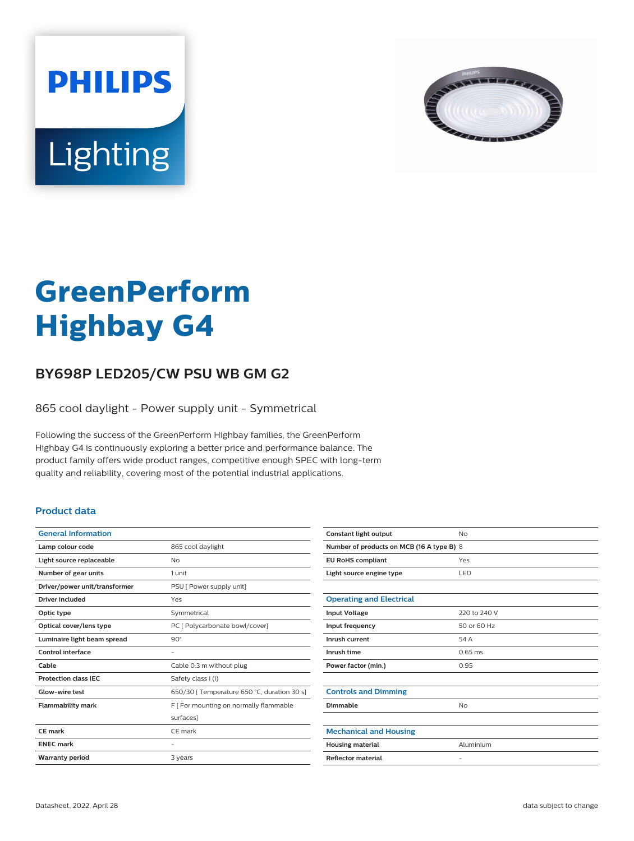



# **GreenPerform Highbay G4**

## **BY698P LED205/CW PSU WB GM G2**

865 cool daylight - Power supply unit - Symmetrical

Following the success of the GreenPerform Highbay families, the GreenPerform Highbay G4 is continuously exploring a better price and performance balance. The product family offers wide product ranges, competitive enough SPEC with long-term quality and reliability, covering most of the potential industrial applications.

#### **Product data**

| <b>General Information</b>    |                                             |
|-------------------------------|---------------------------------------------|
| Lamp colour code              | 865 cool daylight                           |
| Light source replaceable      | No                                          |
| Number of gear units          | 1 unit                                      |
| Driver/power unit/transformer | PSU [ Power supply unit]                    |
| <b>Driver included</b>        | Yes                                         |
| Optic type                    | Symmetrical                                 |
| Optical cover/lens type       | PC [ Polycarbonate bowl/cover]              |
| Luminaire light beam spread   | $90^\circ$                                  |
| Control interface             |                                             |
| Cable                         | Cable 0.3 m without plug                    |
| <b>Protection class IEC</b>   | Safety class I (I)                          |
| Glow-wire test                | 650/30   Temperature 650 °C, duration 30 s] |
| <b>Flammability mark</b>      | F [ For mounting on normally flammable      |
|                               | surfaces]                                   |
| CE mark                       | CF mark                                     |
| <b>FNFC</b> mark              |                                             |
| <b>Warranty period</b>        | 3 years                                     |
|                               |                                             |

| Constant light output                     | No                |  |
|-------------------------------------------|-------------------|--|
| Number of products on MCB (16 A type B) 8 |                   |  |
| <b>EU RoHS compliant</b>                  | Yes               |  |
| Light source engine type                  | LED               |  |
|                                           |                   |  |
| <b>Operating and Electrical</b>           |                   |  |
| <b>Input Voltage</b>                      | 220 to 240 V      |  |
| Input frequency                           | 50 or 60 Hz       |  |
| Inrush current                            | 54 A              |  |
| Inrush time                               | $0.65$ ms         |  |
| Power factor (min.)                       | 0.95              |  |
|                                           |                   |  |
| <b>Controls and Dimming</b>               |                   |  |
| Dimmable                                  | <b>No</b>         |  |
|                                           |                   |  |
| <b>Mechanical and Housing</b>             |                   |  |
| <b>Housing material</b>                   | Aluminium         |  |
| <b>Reflector material</b>                 | $\qquad \qquad -$ |  |
|                                           |                   |  |